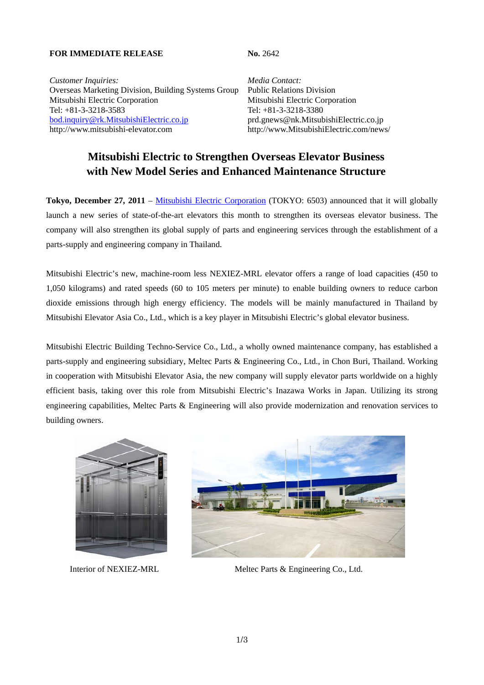# **FOR IMMEDIATE RELEASE No. 2642**

*Customer Inquiries: Media Contact:* Overseas Marketing Division, Building Systems Group Public Relations Division Mitsubishi Electric Corporation Mitsubishi Electric Corporation Tel: +81-3-3218-3583 Tel: +81-3-3218-3380 bod.inquiry@rk.MitsubishiElectric.co.jp prd.gnews@nk.MitsubishiElectric.co.jp http://www.mitsubishi-elevator.com http://www.MitsubishiElectric.com/news/

# **Mitsubishi Electric to Strengthen Overseas Elevator Business with New Model Series and Enhanced Maintenance Structure**

**Tokyo, December 27, 2011** – Mitsubishi Electric Corporation (TOKYO: 6503) announced that it will globally launch a new series of state-of-the-art elevators this month to strengthen its overseas elevator business. The company will also strengthen its global supply of parts and engineering services through the establishment of a parts-supply and engineering company in Thailand.

Mitsubishi Electric's new, machine-room less NEXIEZ-MRL elevator offers a range of load capacities (450 to 1,050 kilograms) and rated speeds (60 to 105 meters per minute) to enable building owners to reduce carbon dioxide emissions through high energy efficiency. The models will be mainly manufactured in Thailand by Mitsubishi Elevator Asia Co., Ltd., which is a key player in Mitsubishi Electric's global elevator business.

Mitsubishi Electric Building Techno-Service Co., Ltd., a wholly owned maintenance company, has established a parts-supply and engineering subsidiary, Meltec Parts & Engineering Co., Ltd., in Chon Buri, Thailand. Working in cooperation with Mitsubishi Elevator Asia, the new company will supply elevator parts worldwide on a highly efficient basis, taking over this role from Mitsubishi Electric's Inazawa Works in Japan. Utilizing its strong engineering capabilities, Meltec Parts & Engineering will also provide modernization and renovation services to building owners.





Interior of NEXIEZ-MRL Meltec Parts & Engineering Co., Ltd.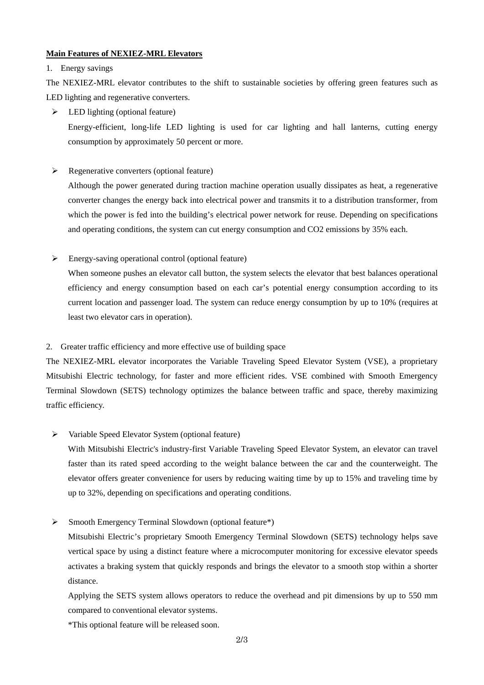# **Main Features of NEXIEZ-MRL Elevators**

## 1. Energy savings

The NEXIEZ-MRL elevator contributes to the shift to sustainable societies by offering green features such as LED lighting and regenerative converters.

 $\triangleright$  LED lighting (optional feature) Energy-efficient, long-life LED lighting is used for car lighting and hall lanterns, cutting energy consumption by approximately 50 percent or more.

 $\triangleright$  Regenerative converters (optional feature)

Although the power generated during traction machine operation usually dissipates as heat, a regenerative converter changes the energy back into electrical power and transmits it to a distribution transformer, from which the power is fed into the building's electrical power network for reuse. Depending on specifications and operating conditions, the system can cut energy consumption and CO2 emissions by 35% each.

Energy-saving operational control (optional feature)

When someone pushes an elevator call button, the system selects the elevator that best balances operational efficiency and energy consumption based on each car's potential energy consumption according to its current location and passenger load. The system can reduce energy consumption by up to 10% (requires at least two elevator cars in operation).

# 2. Greater traffic efficiency and more effective use of building space

The NEXIEZ-MRL elevator incorporates the Variable Traveling Speed Elevator System (VSE), a proprietary Mitsubishi Electric technology, for faster and more efficient rides. VSE combined with Smooth Emergency Terminal Slowdown (SETS) technology optimizes the balance between traffic and space, thereby maximizing traffic efficiency.

 $\triangleright$  Variable Speed Elevator System (optional feature)

With Mitsubishi Electric's industry-first Variable Traveling Speed Elevator System, an elevator can travel faster than its rated speed according to the weight balance between the car and the counterweight. The elevator offers greater convenience for users by reducing waiting time by up to 15% and traveling time by up to 32%, depending on specifications and operating conditions.

 $\triangleright$  Smooth Emergency Terminal Slowdown (optional feature\*)

Mitsubishi Electric's proprietary Smooth Emergency Terminal Slowdown (SETS) technology helps save vertical space by using a distinct feature where a microcomputer monitoring for excessive elevator speeds activates a braking system that quickly responds and brings the elevator to a smooth stop within a shorter distance.

Applying the SETS system allows operators to reduce the overhead and pit dimensions by up to 550 mm compared to conventional elevator systems.

\*This optional feature will be released soon.